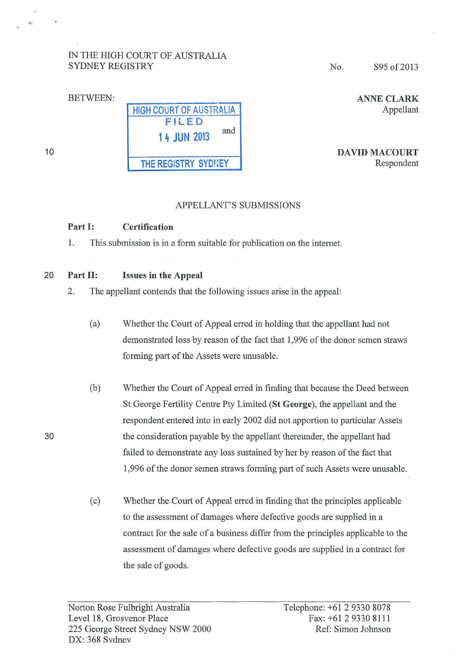# IN THE HIGH COURT OF AUSTRALIA SYDNEY REGISTRY

No. S95 of 2013

ANNE CLARK Appellant

DAVID MACOURT Respondent

# APPELLANT'S SUBMISSIONS

# Part 1: Certification

1. This submission is in a form suitable for publication on the internet.

# 20 Part II: Issues in the Appeal

2. The appellant contends that the following issues arise in the appeal:

- (a) Whether the Court of Appeal erred in holding that the appellant had not demonstrated loss by reason of the fact that 1 ,996 of the donor semen straws forming part of the Assets were unusable.
- (b) Whether the Court of Appeal erred in finding that because the Deed between StGeorge Fertility Centre Pty Limited (StGeorge), the appellant and the respondent entered into in early 2002 did not apportion to particular Assets the consideration payable by the appellant thereunder, the appellant had failed to demonstrate any loss sustained by her by reason of the fact that 1,996 of the donor semen straws forming part of such Assets were unusable.
- (c) Whether the Court of Appeal erred in finding that the principles applicable to the assessment of damages where defective goods are supplied in a contract for the sale of a business differ from the principles applicable to the assessment of damages where defective goods are supplied in a contract for the sale of goods.

30

# HIGH COURT OF AUSTRALIA FILED 1 4 JUN 2013 and THE REGISTRY SYDNEY

10

BETWEEN: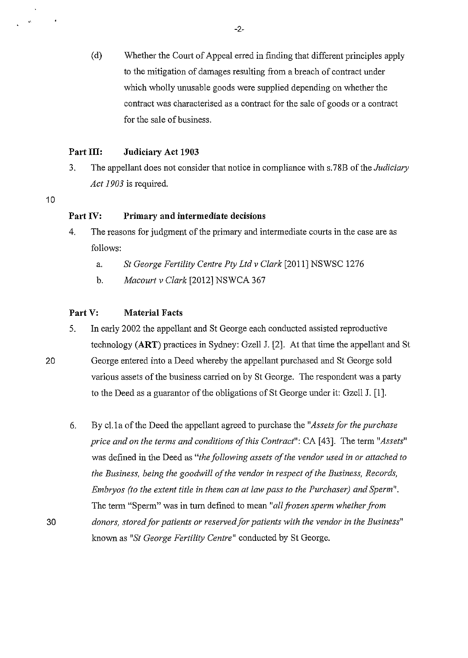(d) Whether the Court of Appeal erred in finding that different principles apply to the mitigation of damages resulting from a breach of contract under which wholly unusable goods were supplied depending on whether the contract was characterised as a contract for the sale of goods or a contract for the sale of business.

## **Part III: Judiciary Act 1903**

- 3. The appellant does not consider that notice in compliance with s.78B of the *Judiciary Act 1903* is required.
- 10

.

# **Part IV: Primary and intermediate decisions**

- 4. The reasons for judgment of the primary and intermediate courts in the case are as follows:
	- a. *StGeorge Fertility Centre Pty Ltd v Clark* [2011] NSWSC 1276
	- b. *Macourt v Clark* [2012] NSWCA 367

# **Part V: Material Facts**

5. In early 2002 the appellant and St George each conducted assisted reproductive technology **(ART)** practices in Sydney: Gzell J. [2]. At that time the appellant and St 20 George entered into a Deed whereby the appellant purchased and St George sold

various assets of the business carried on by St George. The respondent was a party to the Deed as a guarantor of the obligations of St George under it: Gzell J. [1].

6. By eLla of the Deed the appellant agreed to purchase the *"Assets for the purchase price and on the terms and conditions of this Contract":* CA [43]. The term *"Assets"*  was defined in the Deed as *"the following assets of the vendor used in or attached to the Business, being the goodwill of the vendor in respect of the Business, Records, Embryos (to the extent title in them can at law pass to the Purchaser) and Sperm".*  The term "Sperm" was in tum defined to mean *"all frozen sperm whether from*  30 *donors, stored for patients or reserved for patients with the vendor in the Business"*  known as "St George Fertility Centre" conducted by St George.

-2-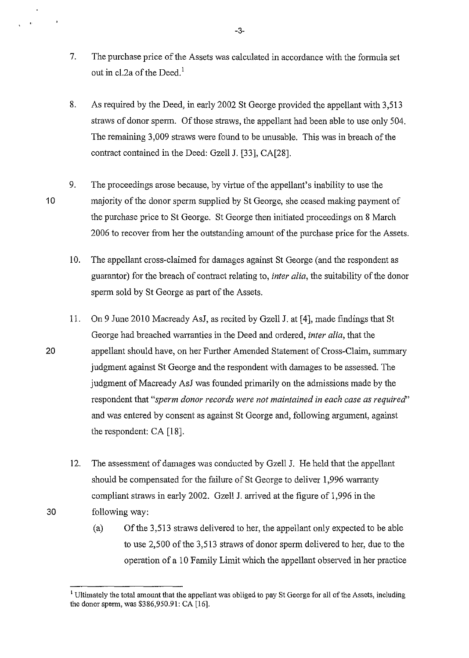- 7. The purchase price of the Assets was calculated in accordance with the formula set out in cl.2a of the Deed.<sup>1</sup>
- 8. As required by the Deed, in early 2002 St George provided the appellant with 3,513 straws of donor sperm. Of those straws, the appellant had been able to use only 504. The remaining 3,009 straws were found to be unusable. This was in breach of the contract contained in the Deed: Gzell J. [33], CA[28].
- 10 9. The proceedings arose because, by virtue of the appellant's inability to use the majority of the donor sperm supplied by St George, she ceased making payment of the purchase price to St George. St George then initiated proceedings on 8 March 2006 to recover from her the outstanding amount of the purchase price for the Assets.
	- 10. The appellant cross-claimed for damages against StGeorge (and the respondent as guarantor) for the breach of contract relating to, *inter alia,* the suitability of the donor sperm sold by St George as part of the Assets.
- 11. On 9 June 2010 Macready AsJ, as recited by Gzell J. at [4], made findings that St George had breached warranties in the Deed and ordered, *inter alia,* that the 20 appellant should have, on her Further Amended Statement of Cross-Claim, summary judgment against St George and the respondent with damages to be assessed. The judgment of Macready AsJ was founded primarily on the admissions made by the respondent that *"sperm donor records were not maintained in each case as required'*  and was entered by consent as against St George and, following argument, against the respondent: CA [18].
- 12. The assessment of damages was conducted by Gzell J. He held that the appellant should be compensated for the failure of St George to deliver I ,996 warranty compliant straws in early 2002. Gzell J. arrived at the figure of 1,996 in the 30 following way:
	- (a) Of the 3,513 straws delivered to her, the appellant only expected to be able to use 2,500 of the 3,513 straws of donor sperm delivered to her, due to the operation of a 10 Family Limit which the appellant observed in her practice

-3-

<sup>&</sup>lt;sup>1</sup> Ultimately the total amount that the appellant was obliged to pay St George for all of the Assets, including the donor sperm, was \$386,950.91: CA [16].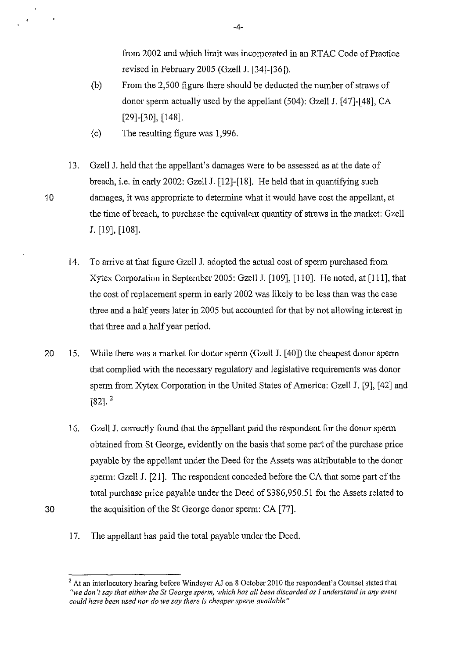from 2002 and which limit was incorporated in an RTAC Code of Practice revised in February 2005 (Gzell J. [34]-[36]).

- (b) From the 2,500 figure there should be deducted the number of straws of donor sperm actually used by the appellant (504): Gzell J. [47]-[48], CA [29]-[30], [148].
- (c) The resulting figure was 1,996.
- 13. Gzell J. held that the appellant's damages were to be assessed as at the date of breach, i.e. in early 2002: Gzell J. [12]-[18]. He held that in quantifying such 10 damages, it was appropriate to determine what it would have cost the appellant, at the time of breach, to purchase the equivalent quantity of straws in the market: Gzell J. [19], [108].
	- 14. To arrive at that figure Gzell J. adopted the actual cost of sperm purchased from Xytex Corporation in September 2005: Gzell J. [109], [110]. He noted, at [Ill], that the cost of replacement sperm in early 2002 was likely to be less than was the case three and a half years later in 2005 but accounted for that by not allowing interest in that three and a half year period.
- 20 15. While there was a market for donor sperm (Gzell J. [40]) the cheapest donor sperm that complied with the necessary regulatory and legislative requirements was donor sperm from Xytex Corporation in the United States of America: Gzell J. [9], [42] and  $[82]$ .<sup>2</sup>
- 16. Gzell J. correctly found that the appellant paid the respondent for the donor sperm obtained from St George, evidently on the basis that some part of the purchase price payable by the appellant under the Deed for the Assets was attributable to the donor sperm: Gzell J. [21]. The respondent conceded before the CA that some part of the total purchase price payable under the Deed of \$386,950.51 for the Assets related to 30 the acquisition of the St George donor sperm: CA [77].
	- 17. The appellant has paid the total payable under the Deed.

-4-

<sup>&</sup>lt;sup>2</sup> At an interlocutory hearing before Windeyer AJ on 8 October 2010 the respondent's Counsel stated that *"we don't say that either the St George sperm, which has all been discarded as I understand in any event* could have been used nor do we say there is cheaper sperm available"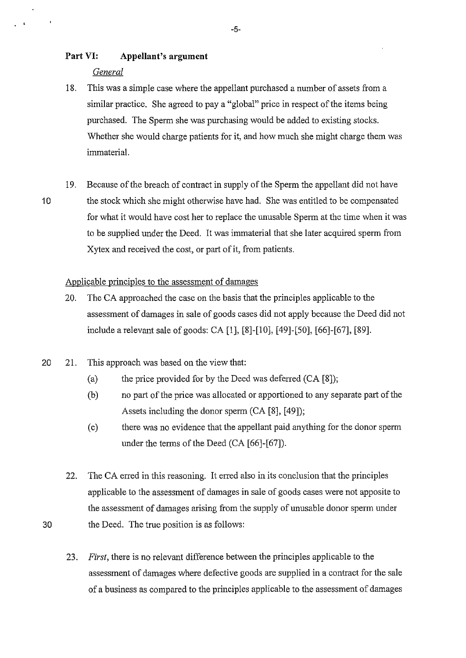# **Part VI: Appellant's argument**

#### *General*

 $\overline{a}$ 

- 18. This was a simple case where the appellant purchased a number of assets from a similar practice. She agreed to pay a "global" price in respect of the items being purchased. The Sperm she was purchasing would be added to existing stocks. Whether she would charge patients for it, and how much she might charge them was immaterial.
- 19. Because of the breach of contract in supply of the Sperm the appellant did not have 10 the stock which she might otherwise have had. She was entitled to be compensated for what it would have cost her to replace the unusable Sperm at the time when it was to be supplied under the Deed. It was immaterial that she later acquired sperm from Xytex and received the cost, or part of it, from patients.

#### Applicable principles to the assessment of damages

- 20. The CA approached the case on the basis that the principles applicable to the assessment of damages in sale of goods cases did not apply because the Deed did not include a relevant sale of goods: CA [1], [8]-[10], [49]-[50], [66]-[67], [89].
- 20 21. This approach was based on the view that:
	- (a) the price provided for by the Deed was deferred  $(CA [8])$ ;
	- (b) no part of the price was allocated or apportioned to any separate part of the Assets including the donor sperm (CA [8], [49]);
	- (c) there was no evidence that the appellant paid anything for the donor sperm under the terms of the Deed (CA [66]-[67]).
- 22. The CA erred in this reasoning. It erred also in its conclusion that the principles applicable to the assessment of damages in sale of goods cases were not apposite to the assessment of damages arising from the supply of unusable donor sperm under 30 the Deed. The true position is as follows:
	- 23. *First,* there is no relevant difference between the principles applicable to the assessment of damages where defective goods are supplied in a contract for the sale of a business as compared to the principles applicable to the assessment of damages

-5-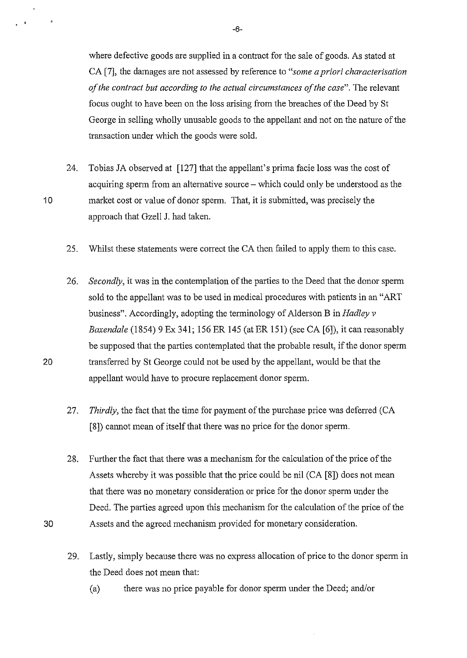where defective goods are supplied in a contract for the sale of goods. As stated at CA [7], the damages are not assessed by reference to *"some a priori characterisation of the contract but according to the actual circumstances of the case".* The relevant focus ought to have been on the loss arising from the breaches of the Deed by St George in selling wholly unusable goods to the appellant and not on the nature of the transaction under which the goods were sold.

- 24. Tobias JA observed at [127] that the appellant's prima facie loss was the cost of acquiring sperm from an alternative source – which could only be understood as the 10 market cost or value of donor sperm. That, it is submitted, was precisely the approach that Gzell J. had taken.
	- 25. Whilst these statements were correct the CA then failed to apply them to this case.
- 26. *Secondly,* it was in the contemplation of the parties to the Deed that the donor sperm sold to the appellant was to be used in medical procedures with patients in an "ART business". Accordingly, adopting the terminology of Alderson Bin *Hadley v Baxendale* (1854) 9 Ex 341; 156 ER 145 (at ER 151) (see CA [6]), it can reasonably be supposed that the parties contemplated that the probable result, if the donor sperm 20 transferred by St George could not be used by the appellant, would be that the appellant would have to procure replacement donor sperm.
	- 27. *Thirdly*, the fact that the time for payment of the purchase price was deferred (CA [8]) cannot mean of itself that there was no price for the donor sperm.
- 28. Further the fact that there was a mechanism for the calculation of the price of the Assets whereby it was possible that the price could be nil (CA [8]) does not mean that there was no monetary consideration or price for the donor sperm under the Deed. The parties agreed upon this mechanism for the calculation of the price of the 30 Assets and the agreed mechanism provided for monetary consideration.
	- 29. Lastly, simply because there was no express allocation of price to the donor sperm in the Deed does not mean that:
		- (a) there was no price payable for donor sperm tmder the Deed; and/or

-6-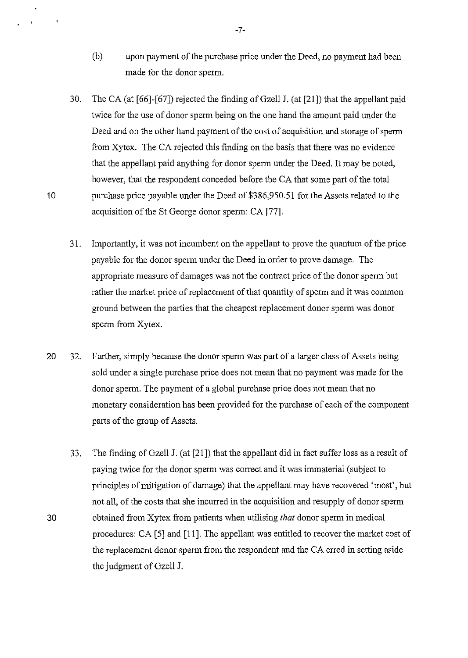- (b) upon payment of the purchase price under the Deed, no payment had been made for the donor sperm.
- 30. TheCA (at [66]-[67]) rejected the finding of Gzell J. (at [21]) that the appellant paid twice for the use of donor sperm being on the one hand the amount paid under the Deed and on the other hand payment of the cost of acquisition and storage of sperm from Xytex. The CA rejected this finding on the basis that there was no evidence that the appellant paid anything for donor sperm under the Deed. It may be noted, however, that the respondent conceded before the CA that some part of the total 10 purchase price payable under the Deed of \$386,950.51 for the Assets related to the acquisition of the St George donor sperm: CA [77].
	- 31. Importantly, it was not incumbent on the appellant to prove the quantum of the price payable for the donor sperm under the Deed in order to prove damage. The appropriate measure of damages was not the contract price of the donor sperm but rather the market price of replacement of that quantity of sperm and it was common ground between the parties that the cheapest replacement donor sperm was donor sperm from Xytex.
- 20 32. Further, simply because the donor sperm was part of a larger class of Assets being sold under a single purchase price does not mean that no payment was made for the donor sperm. The payment of a global purchase price does not mean that no monetary consideration has been provided for the purchase of each of the component parts of the group of Assets.
- 33. The finding of Gzell J. (at [21]) that the appellant did in fact suffer loss as a result of paying twice for the donor sperm was correct and it was immaterial (subject to principles of mitigation of damage) that the appellant may have recovered 'most', but not all, of the costs that she incurred in the acquisition and resupply of donor sperm 30 obtained from Xytex from patients when utilising *that* donor sperm in medical procedures: CA [5] and [11]. The appellant was entitled to recover the market cost of the replacement donor sperm from the respondent and the CA erred in setting aside the judgment of Gzell J.

-7-

 $\mathbf{t}$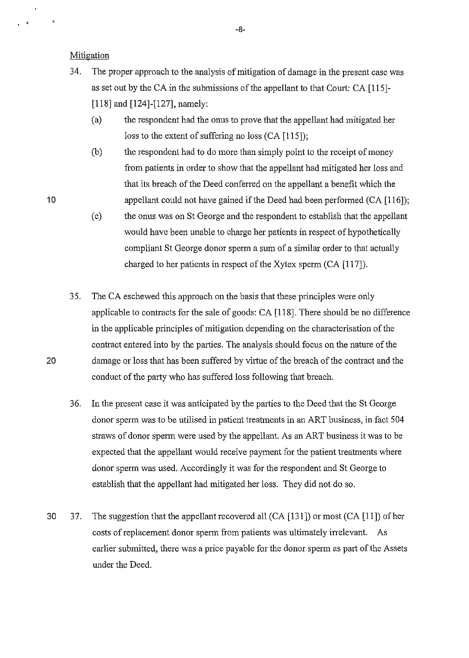**Mitigation** 

 $\cdot$   $\cdot$ 

10

- 34. The proper approach to the analysis of mitigation of damage in the present case was as set out by the CA in the submissions of the appellant to that Court: CA [115]-[118] and [124]-[127], namely:
	- (a) the respondent had the onus to prove that the appellant had mitigated her loss to the extent of suffering no loss (CA [115]);
	- (b) the respondent had to do more than simply point to the receipt of money from patients in order to show that the appellant had mitigated her loss and that its breach of the Deed conferred on the appellant a benefit which the appellant could not have gained if the Deed had been performed (CA [116]);
	- (c) the onus was on St George and the respondent to establish that the appellant would have been unable to charge her patients in respect of hypothetically compliant St George donor sperm a sum of a similar order to that actually charged to her patients in respect of the Xytex sperm (CA [117]).
- 3 5. The CA eschewed this approach on the basis that these principles were only applicable to contracts for the sale of goods: CA [118]. There should be no difference in the applicable principles of mitigation depending on the characterisation of the contract entered into by the parties. The analysis should focus on the nature of the 20 damage or loss that has been suffered by virtue of the breach of the contract and the conduct of the party who has suffered loss following that breach.
	- 36. In the present case it was anticipated by the parties to the Deed that the St George donor sperm was to be utilised in patient treatments in an ART business, in fact 504 straws of donor sperm were used by the appellant. As an ART business it was to be expected that the appellant would receive payment for the patient treatments where donor sperm was used. Accordingly it was for the respondent and St George to establish that the appellant had mitigated her loss. They did not do so.
- 30 37. The suggestion that the appellant recovered all (CA [131]) or most (CA [11]) of her costs of replacement donor sperm from patients was ultimately irrelevant. As earlier submitted, there was a price payable for the donor sperm as part of the Assets under the Deed.

-8-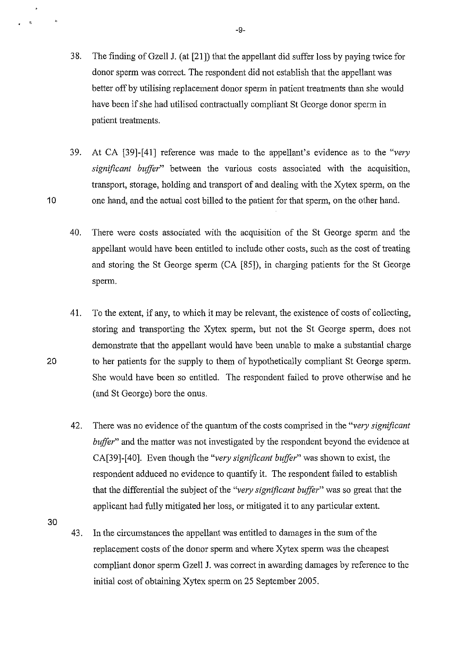- 3 8. The finding of Gzell J. (at [21]) that the appellant did suffer loss by paying twice for donor sperm was correct. The respondent did not establish that the appellant was better off by utilising replacement donor sperm in patient treatments than she would have been if she had utilised contractually compliant St George donor sperm in patient treatments.
- 39. At CA [39]-[41] reference was made to the appellant's evidence as to the *"very significant buffer"* between the various costs associated with the acquisition, transport, storage, holding and transport of and dealing with the Xytex sperm, on the 10 one hand, and the actual cost billed to the patient for that sperm, on the other hand.
	- 40. There were costs associated with the acquisition of the St George sperm and the appellant would have been entitled to include other costs, such as the cost of treating and storing the St George sperm (CA [85]), in charging patients for the St George sperm.
- 41. To the extent, if any, to which it may be relevant, the existence of costs of collecting, storing and transporting the Xytex sperm, but not the St George sperm, does not demonstrate that the appellant would have been unable to make a substantial charge 20 to her patients for the supply to them of hypothetically compliant St George sperm. She would have been so entitled. The respondent failed to prove otherwise and he (and St George) bore the onus.
	- 42. There was no evidence of the quantum of the costs comprised in the *"very significant buffer"* and the matter was not investigated by the respondent beyond the evidence at CA[39]-[40]. Even though the *"very significant buffer"* was shown to exist, the respondent adduced no evidence to quantify it. The respondent failed to establish that the differential the subject of the *"very significant buffer"* was so great that the applicant had fully mitigated her loss, or mitigated it to any particular extent.
- 30

 $\ddot{\phantom{1}}$  $\chi$ 

> 43. In the circumstances the appellant was entitled to damages in the sum of the replacement costs of the donor sperm and where Xytex sperm was the cheapest compliant donor sperm Gzell J. was correct in awarding damages by reference to the initial cost of obtaining Xytex sperm on 25 September 2005.

-9-